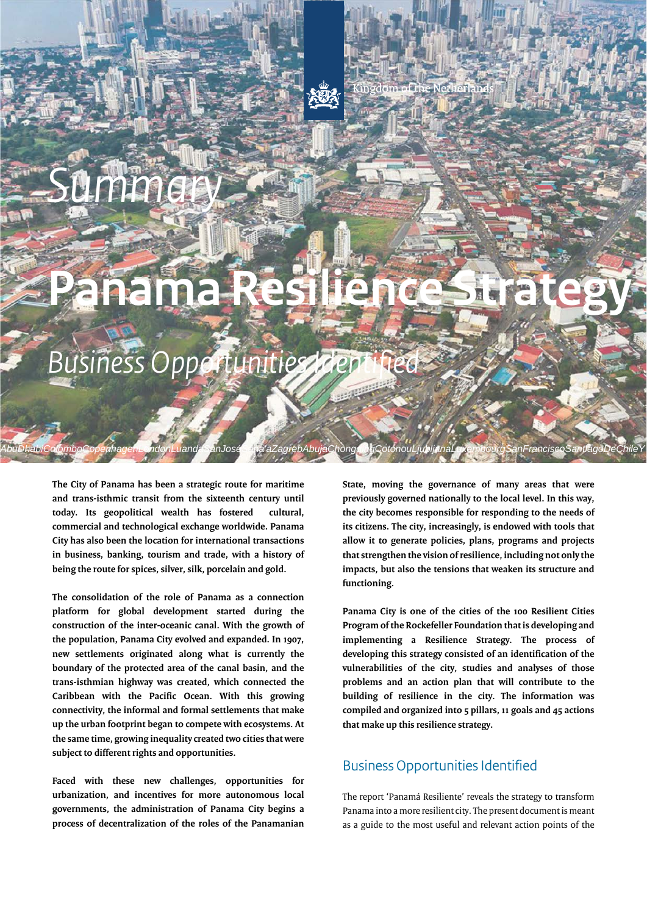# *Summary*

## **Panama Resilience Strategy**

*AbuDhabiColomboCopenhagenLondonLuandaSanJoséSana'aZagrebAbujaChongqingCotonouLjubljanaLuxembourgSanFranciscoSantiagoDeChileY*

*Business Opportunities Identified* 

**The City of Panama has been a strategic route for maritime and trans-isthmic transit from the sixteenth century until today. Its geopolitical wealth has fostered cultural, commercial and technological exchange worldwide. Panama City has also been the location for international transactions in business, banking, tourism and trade, with a history of being the route for spices, silver, silk, porcelain and gold.** 

**The consolidation of the role of Panama as a connection platform for global development started during the construction of the inter-oceanic canal. With the growth of the population, Panama City evolved and expanded. In 1907, new settlements originated along what is currently the boundary of the protected area of the canal basin, and the trans-isthmian highway was created, which connected the Caribbean with the Pacific Ocean. With this growing connectivity, the informal and formal settlements that make up the urban footprint began to compete with ecosystems. At the same time, growing inequality created two cities that were subject to different rights and opportunities.** 

**Faced with these new challenges, opportunities for urbanization, and incentives for more autonomous local governments, the administration of Panama City begins a process of decentralization of the roles of the Panamanian** 

**State, moving the governance of many areas that were previously governed nationally to the local level. In this way, the city becomes responsible for responding to the needs of its citizens. The city, increasingly, is endowed with tools that allow it to generate policies, plans, programs and projects that strengthen the vision of resilience, including not only the impacts, but also the tensions that weaken its structure and functioning.** 

**Panama City is one of the cities of the 100 Resilient Cities Program of the Rockefeller Foundation that is developing and implementing a Resilience Strategy. The process of developing this strategy consisted of an identification of the vulnerabilities of the city, studies and analyses of those problems and an action plan that will contribute to the building of resilience in the city. The information was compiled and organized into 5 pillars, 11 goals and 45 actions that make up this resilience strategy.** 

## Business Opportunities Identified

The report 'Panamá Resiliente' reveals the strategy to transform Panama into a more resilient city. The present document is meant as a guide to the most useful and relevant action points of the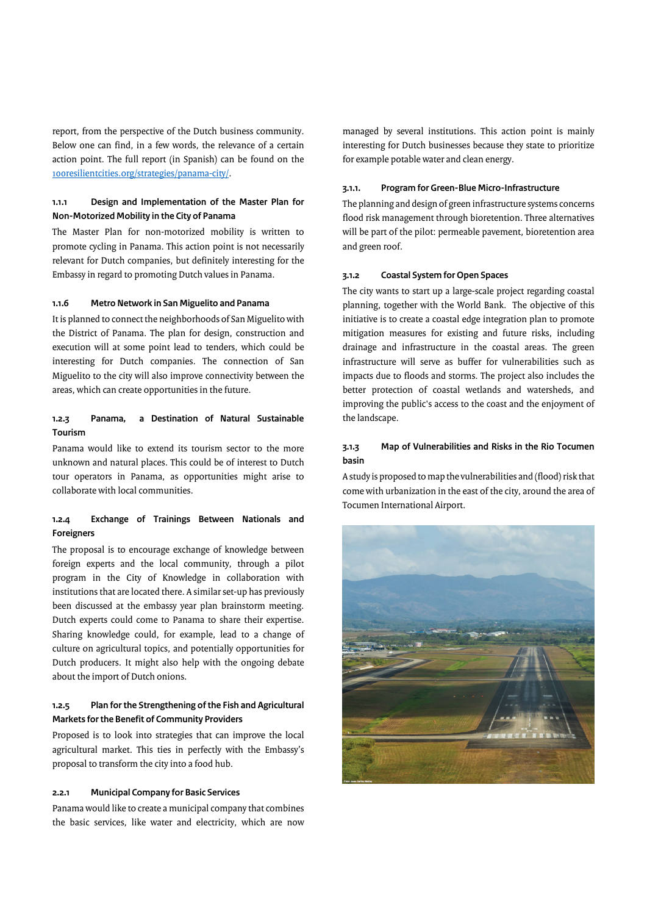report, from the perspective of the Dutch business community. Below one can find, in a few words, the relevance of a certain action point. The full report (in Spanish) can be found on the [100resilientcities.org/strategies/panama-city/](https://100resilientcities.org/strategies/panama-city).

#### **1.1.1 Design and Implementation of the Master Plan for Non-Motorized Mobility in the City of Panama**

The Master Plan for non-motorized mobility is written to promote cycling in Panama. This action point is not necessarily relevant for Dutch companies, but definitely interesting for the Embassy in regard to promoting Dutch values in Panama.

#### **1.1.6 Metro Network in San Miguelito and Panama**

It is planned to connect the neighborhoods of San Miguelito with the District of Panama. The plan for design, construction and execution will at some point lead to tenders, which could be interesting for Dutch companies. The connection of San Miguelito to the city will also improve connectivity between the areas, which can create opportunities in the future.

## **1.2.3 Panama, a Destination of Natural Sustainable Tourism**

Panama would like to extend its tourism sector to the more unknown and natural places. This could be of interest to Dutch tour operators in Panama, as opportunities might arise to collaborate with local communities.

## **1.2.4 Exchange of Trainings Between Nationals and Foreigners**

The proposal is to encourage exchange of knowledge between foreign experts and the local community, through a pilot program in the City of Knowledge in collaboration with institutions that are located there. A similar set-up has previously been discussed at the embassy year plan brainstorm meeting. Dutch experts could come to Panama to share their expertise. Sharing knowledge could, for example, lead to a change of culture on agricultural topics, and potentially opportunities for Dutch producers. It might also help with the ongoing debate about the import of Dutch onions.

#### **1.2.5 Plan for the Strengthening of the Fish and Agricultural Markets for the Benefit of Community Providers**

Proposed is to look into strategies that can improve the local agricultural market. This ties in perfectly with the Embassy's proposal to transform the city into a food hub.

#### **2.2.1 Municipal Company for Basic Services**

Panama would like to create a municipal company that combines the basic services, like water and electricity, which are now managed by several institutions. This action point is mainly interesting for Dutch businesses because they state to prioritize for example potable water and clean energy.

#### **3.1.1. Program for Green-Blue Micro-Infrastructure**

The planning and design of green infrastructure systems concerns flood risk management through bioretention. Three alternatives will be part of the pilot: permeable pavement, bioretention area and green roof.

#### **3.1.2 Coastal System for Open Spaces**

The city wants to start up a large-scale project regarding coastal planning, together with the World Bank. The objective of this initiative is to create a coastal edge integration plan to promote mitigation measures for existing and future risks, including drainage and infrastructure in the coastal areas. The green infrastructure will serve as buffer for vulnerabilities such as impacts due to floods and storms. The project also includes the better protection of coastal wetlands and watersheds, and improving the public's access to the coast and the enjoyment of the landscape.

## **3.1.3 Map of Vulnerabilities and Risks in the Rio Tocumen basin**

A study is proposed to map the vulnerabilities and (flood) risk that come with urbanization in the east of the city, around the area of Tocumen International Airport.